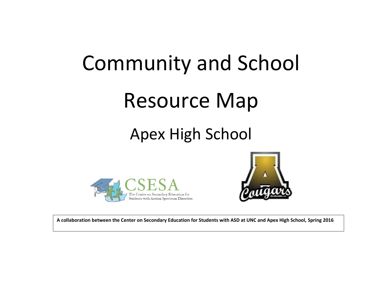# Community and School Resource Map

# Apex High School





**A collaboration between the Center on Secondary Education for Students with ASD at UNC and Apex High School, Spring 2016**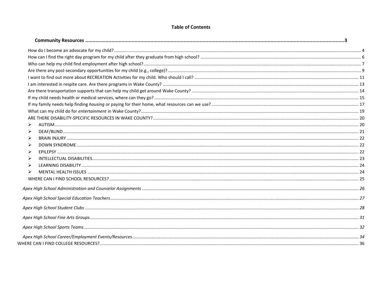#### **Table of Contents**

| ⋗ |  |
|---|--|
|   |  |
| ⋗ |  |
|   |  |
|   |  |
|   |  |
|   |  |
|   |  |
|   |  |
|   |  |
|   |  |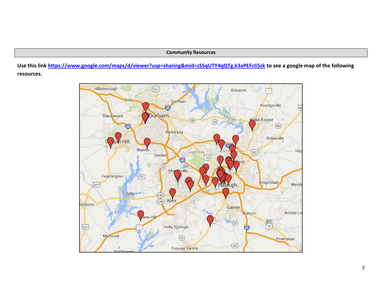#### **Community Resources**

<span id="page-2-0"></span>**Use this link<https://www.google.com/maps/d/viewer?usp=sharing&mid=zSSqUTY4qQTg.k3aPEFcIi5zk> to see a google map of the following resources.**

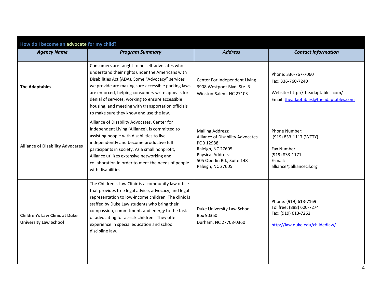<span id="page-3-0"></span>

| How do I become an advocate for my child?                            |                                                                                                                                                                                                                                                                                                                                                                                                                       |                                                                                                                                                                              |                                                                                                                          |  |
|----------------------------------------------------------------------|-----------------------------------------------------------------------------------------------------------------------------------------------------------------------------------------------------------------------------------------------------------------------------------------------------------------------------------------------------------------------------------------------------------------------|------------------------------------------------------------------------------------------------------------------------------------------------------------------------------|--------------------------------------------------------------------------------------------------------------------------|--|
| <b>Agency Name</b>                                                   | <b>Program Summary</b>                                                                                                                                                                                                                                                                                                                                                                                                | <b>Address</b>                                                                                                                                                               | <b>Contact Information</b>                                                                                               |  |
| <b>The Adaptables</b>                                                | Consumers are taught to be self-advocates who<br>understand their rights under the Americans with<br>Disabilities Act (ADA). Some "Advocacy" services<br>we provide are making sure accessible parking laws<br>are enforced, helping consumers write appeals for<br>denial of services, working to ensure accessible<br>housing, and meeting with transportation officials<br>to make sure they know and use the law. | Center For Independent Living<br>3908 Westpont Blvd. Ste. B<br>Winston-Salem, NC 27103                                                                                       | Phone: 336-767-7060<br>Fax: 336-760-7240<br>Website: http://theadaptables.com/<br>Email: theadaptables@theadaptables.com |  |
| <b>Alliance of Disability Advocates</b>                              | Alliance of Disability Advocates, Center for<br>Independent Living (Alliance), is committed to<br>assisting people with disabilities to live<br>independently and become productive full<br>participants in society. As a small nonprofit,<br>Alliance utilizes extensive networking and<br>collaboration in order to meet the needs of people<br>with disabilities.                                                  | <b>Mailing Address:</b><br>Alliance of Disability Advocates<br>POB 12988<br>Raleigh, NC 27605<br><b>Physical Address:</b><br>505 Oberlin Rd., Suite 148<br>Raleigh, NC 27605 | Phone Number:<br>(919) 833-1117 (V/TTY)<br>Fax Number:<br>(919) 833-1171<br>E-mail:<br>alliance@alliancecil.org          |  |
| <b>Children's Law Clinic at Duke</b><br><b>University Law School</b> | The Children's Law Clinic is a community law office<br>that provides free legal advice, advocacy, and legal<br>representation to low-income children. The clinic is<br>staffed by Duke Law students who bring their<br>compassion, commitment, and energy to the task<br>of advocating for at-risk children. They offer<br>experience in special education and school<br>discipline law.                              | Duke University Law School<br>Box 90360<br>Durham, NC 27708-0360                                                                                                             | Phone: (919) 613-7169<br>Tollfree: (888) 600-7274<br>Fax: (919) 613-7262<br>http://law.duke.edu/childedlaw/              |  |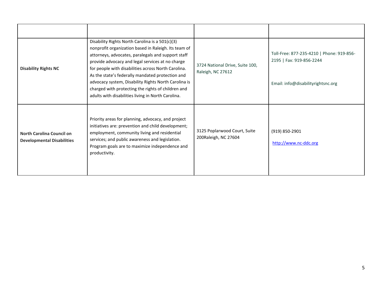| <b>Disability Rights NC</b>                                           | Disability Rights North Carolina is a 501(c)(3)<br>nonprofit organization based in Raleigh. Its team of<br>attorneys, advocates, paralegals and support staff<br>provide advocacy and legal services at no charge<br>for people with disabilities across North Carolina.<br>As the state's federally mandated protection and<br>advocacy system, Disability Rights North Carolina is<br>charged with protecting the rights of children and<br>adults with disabilities living in North Carolina. | 3724 National Drive, Suite 100,<br>Raleigh, NC 27612 | Toll-Free: 877-235-4210   Phone: 919-856-<br>2195   Fax: 919-856-2244<br>Email: info@disabilityrightsnc.org |
|-----------------------------------------------------------------------|--------------------------------------------------------------------------------------------------------------------------------------------------------------------------------------------------------------------------------------------------------------------------------------------------------------------------------------------------------------------------------------------------------------------------------------------------------------------------------------------------|------------------------------------------------------|-------------------------------------------------------------------------------------------------------------|
| <b>North Carolina Council on</b><br><b>Developmental Disabilities</b> | Priority areas for planning, advocacy, and project<br>initiatives are: prevention and child development;<br>employment, community living and residential<br>services; and public awareness and legislation.<br>Program goals are to maximize independence and<br>productivity.                                                                                                                                                                                                                   | 3125 Poplarwood Court, Suite<br>200Raleigh, NC 27604 | $(919) 850 - 2901$<br>http://www.nc-ddc.org                                                                 |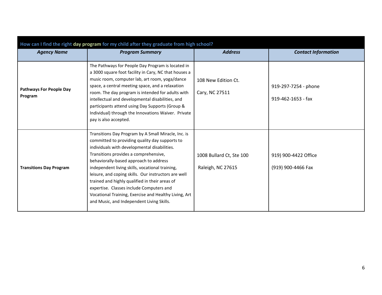<span id="page-5-0"></span>

| How can I find the right day program for my child after they graduate from high school? |                                                                                                                                                                                                                                                                                                                                                                                                                                                                                                                                                         |                                               |                                            |  |  |
|-----------------------------------------------------------------------------------------|---------------------------------------------------------------------------------------------------------------------------------------------------------------------------------------------------------------------------------------------------------------------------------------------------------------------------------------------------------------------------------------------------------------------------------------------------------------------------------------------------------------------------------------------------------|-----------------------------------------------|--------------------------------------------|--|--|
| <b>Agency Name</b>                                                                      | <b>Program Summary</b>                                                                                                                                                                                                                                                                                                                                                                                                                                                                                                                                  | <b>Address</b>                                | <b>Contact Information</b>                 |  |  |
| <b>Pathways For People Day</b><br>Program                                               | The Pathways for People Day Program is located in<br>a 3000 square foot facility in Cary, NC that houses a<br>music room, computer lab, art room, yoga/dance<br>space, a central meeting space, and a relaxation<br>room. The day program is intended for adults with<br>intellectual and developmental disabilities, and<br>participants attend using Day Supports (Group &<br>Individual) through the Innovations Waiver. Private<br>pay is also accepted.                                                                                            | 108 New Edition Ct.<br>Cary, NC 27511         | 919-297-7254 - phone<br>919-462-1653 - fax |  |  |
| <b>Transitions Day Program</b>                                                          | Transitions Day Program by A Small Miracle, Inc. is<br>committed to providing quality day supports to<br>individuals with developmental disabilities.<br>Transitions provides a comprehensive,<br>behaviorally-based approach to address<br>independent living skills, vocational training,<br>leisure, and coping skills. Our instructors are well<br>trained and highly qualified in their areas of<br>expertise. Classes include Computers and<br>Vocational Training, Exercise and Healthy Living, Art<br>and Music, and Independent Living Skills. | 1008 Bullard Ct, Ste 100<br>Raleigh, NC 27615 | 919) 900-4422 Office<br>(919) 900-4466 Fax |  |  |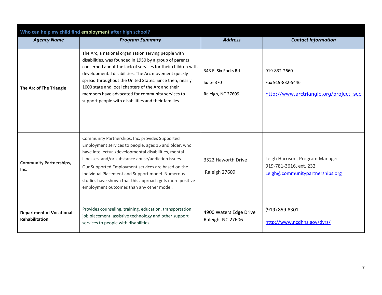<span id="page-6-0"></span>

| Who can help my child find employment after high school? |                                                                                                                                                                                                                                                                                                                                                                                                                                                                      |                                                        |                                                                                              |  |  |
|----------------------------------------------------------|----------------------------------------------------------------------------------------------------------------------------------------------------------------------------------------------------------------------------------------------------------------------------------------------------------------------------------------------------------------------------------------------------------------------------------------------------------------------|--------------------------------------------------------|----------------------------------------------------------------------------------------------|--|--|
| <b>Agency Name</b>                                       | <b>Program Summary</b>                                                                                                                                                                                                                                                                                                                                                                                                                                               | <b>Address</b>                                         | <b>Contact Information</b>                                                                   |  |  |
| The Arc of The Triangle                                  | The Arc, a national organization serving people with<br>disabilities, was founded in 1950 by a group of parents<br>concerned about the lack of services for their children with<br>developmental disabilities. The Arc movement quickly<br>spread throughout the United States. Since then, nearly<br>1000 state and local chapters of the Arc and their<br>members have advocated for community services to<br>support people with disabilities and their families. | 343 E. Six Forks Rd.<br>Suite 370<br>Raleigh, NC 27609 | 919-832-2660<br>Fax 919-832-5446<br>http://www.arctriangle.org/project_see                   |  |  |
| <b>Community Partnerships,</b><br>Inc.                   | Community Partnerships, Inc. provides Supported<br>Employment services to people, ages 16 and older, who<br>have intellectual/developmental disabilities, mental<br>illnesses, and/or substance abuse/addiction issues<br>Our Supported Employment services are based on the<br>Individual Placement and Support model. Numerous<br>studies have shown that this approach gets more positive<br>employment outcomes than any other model.                            | 3522 Haworth Drive<br>Raleigh 27609                    | Leigh Harrison, Program Manager<br>919-781-3616, ext. 232<br>Leigh@communitypartnerships.org |  |  |
| <b>Department of Vocational</b><br><b>Rehabilitation</b> | Provides counseling, training, education, transportation,<br>job placement, assistive technology and other support<br>services to people with disabilities.                                                                                                                                                                                                                                                                                                          | 4900 Waters Edge Drive<br>Raleigh, NC 27606            | (919) 859-8301<br>http://www.ncdhhs.gov/dvrs/                                                |  |  |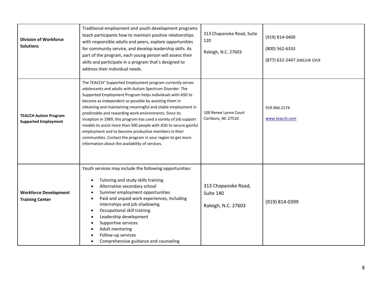| <b>Division of Workforce</b><br><b>Solutions</b>            | Traditional employment and youth development programs<br>teach participants how to maintain positive relationships<br>with responsible adults and peers, explore opportunities<br>for community service, and develop leadership skills. As<br>part of the program, each young person will assess their<br>skills and participate in a program that's designed to<br>address their individual needs.                                                                                                                                                                                                                                                                                          | 313 Chapanoke Road, Suite<br>120<br>Raleigh, N.C. 27603 | (919) 814-0400<br>(800) 562-6333<br>(877) 632-2447 JobLink Unit |
|-------------------------------------------------------------|----------------------------------------------------------------------------------------------------------------------------------------------------------------------------------------------------------------------------------------------------------------------------------------------------------------------------------------------------------------------------------------------------------------------------------------------------------------------------------------------------------------------------------------------------------------------------------------------------------------------------------------------------------------------------------------------|---------------------------------------------------------|-----------------------------------------------------------------|
| <b>TEACCH Autism Program</b><br><b>Supported Employment</b> | The TEACCH® Supported Employment program currently serves<br>adolescents and adults with Autism Spectrum Disorder. The<br>Supported Employment Program helps individuals with ASD to<br>become as independent as possible by assisting them in<br>obtaining and maintaining meaningful and stable employment in<br>predictable and rewarding work environments. Since its<br>inception in 1989, this program has used a variety of job support<br>models to assist more than 500 people with ASD to secure gainful<br>employment and to become productive members in their<br>communities. Contact the program in your region to get more<br>information about the availability of services. | 100 Renee Lynne Court<br>Carrboro, NC 27510             | 919.966.2174<br>www.teacch.com                                  |
| <b>Workforce Development</b><br><b>Training Center</b>      | Youth services may include the following opportunities:<br>Tutoring and study skills training<br>Alternative secondary school<br>Summer employment opportunities<br>Paid and unpaid work experiences, including<br>internships and job shadowing<br>Occupational skill training<br>Leadership development<br>Supportive services<br>Adult mentoring<br>Follow-up services<br>Comprehensive guidance and counseling                                                                                                                                                                                                                                                                           | 313 Chapanoke Road,<br>Suite 140<br>Raleigh, N.C. 27603 | (919) 814-0399                                                  |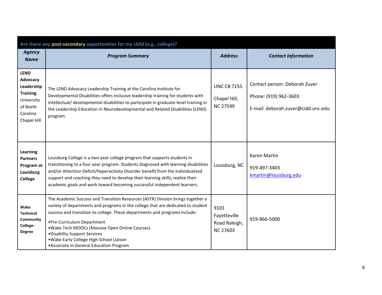<span id="page-8-0"></span>

| Are there any post-secondary opportunities for my child (e.g., college)?                                      |                                                                                                                                                                                                                                                                                                                                                                                                                                                              |                                                          |                                                                                              |  |
|---------------------------------------------------------------------------------------------------------------|--------------------------------------------------------------------------------------------------------------------------------------------------------------------------------------------------------------------------------------------------------------------------------------------------------------------------------------------------------------------------------------------------------------------------------------------------------------|----------------------------------------------------------|----------------------------------------------------------------------------------------------|--|
| <b>Agency</b><br><b>Name</b>                                                                                  | <b>Program Summary</b>                                                                                                                                                                                                                                                                                                                                                                                                                                       | <b>Address</b>                                           | <b>Contact Information</b>                                                                   |  |
| <b>LEND</b><br>Advocacy<br>Leadership<br><b>Training</b><br>University<br>of North<br>Carolina<br>Chapel Hill | The LEND Advocacy Leadership Training at the Carolina Institute for<br>Developmental Disabilities offers inclusive leadership training for students with<br>intellectual/ developmental disabilities to participate in graduate-level training in<br>the Leadership Education in Neurodevelopmental and Related Disabilities (LEND)<br>program.                                                                                                              | <b>UNC CB 7255</b><br>Chapel Hill,<br><b>NC 27599</b>    | Contact person: Deborah Zuver<br>Phone: (919) 962-3603<br>E-mail: deborah.zuver@cidd.unc.edu |  |
| <b>Learning</b><br><b>Partners</b><br>Program at<br>Louisburg<br>College                                      | Louisburg College is a two-year college program that supports students in<br>transitioning to a four year program. Students diagnosed with learning disabilities<br>and/or Attention Deficit/Hyperactivity Disorder benefit from the individualized<br>support and coaching they need to develop their learning skills, realize their<br>academic goals and work toward becoming successful independent learners.                                            | Louisburg, NC                                            | Karen Martin<br>919-497-3403<br>kmartin@louisburg.edu                                        |  |
| Wake<br><b>Technical</b><br>Community<br>College-<br><b>Degree</b>                                            | The Academic Success and Transition Resources (ASTR) Division brings together a<br>variety of departments and programs in the college that are dedicated to student<br>success and transition to college. These departments and programs include:<br>• Pre-Curriculum Department<br>• Wake Tech MOOCs (Massive Open Online Courses)<br>. Disability Support Services<br>. Wake Early College High School Liaison<br>• Associate in General Education Program | 9101<br>Fayetteville<br>Road Raleigh,<br><b>NC 27603</b> | 919-866-5000                                                                                 |  |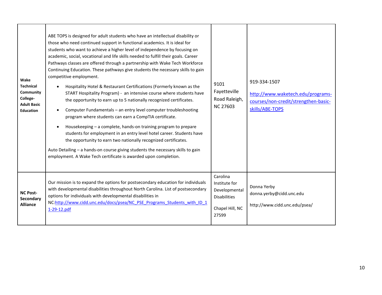| Wake<br><b>Technical</b><br>Community<br>College-<br><b>Adult Basic</b><br><b>Education</b> | ABE TOPS is designed for adult students who have an intellectual disability or<br>those who need continued support in functional academics. It is ideal for<br>students who want to achieve a higher level of independence by focusing on<br>academic, social, vocational and life skills needed to fulfill their goals. Career<br>Pathways classes are offered through a partnership with Wake Tech Workforce<br>Continuing Education. These pathways give students the necessary skills to gain<br>competitive employment.<br>Hospitality Hotel & Restaurant Certifications (Formerly known as the<br>START Hospitality Program) - an intensive course where students have<br>the opportunity to earn up to 5 nationally recognized certificates.<br>Computer Fundamentals - an entry level computer troubleshooting<br>program where students can earn a CompTIA certificate.<br>Housekeeping - a complete, hands-on training program to prepare<br>students for employment in an entry level hotel career. Students have<br>the opportunity to earn two nationally recognized certificates.<br>Auto Detailing - a hands-on course giving students the necessary skills to gain<br>employment. A Wake Tech certificate is awarded upon completion. | 9101<br>Fayetteville<br>Road Raleigh,<br><b>NC 27603</b>                                      | 919-334-1507<br>http://www.waketech.edu/programs-<br>courses/non-credit/strengthen-basic-<br>skills/ABE-TOPS |
|---------------------------------------------------------------------------------------------|-------------------------------------------------------------------------------------------------------------------------------------------------------------------------------------------------------------------------------------------------------------------------------------------------------------------------------------------------------------------------------------------------------------------------------------------------------------------------------------------------------------------------------------------------------------------------------------------------------------------------------------------------------------------------------------------------------------------------------------------------------------------------------------------------------------------------------------------------------------------------------------------------------------------------------------------------------------------------------------------------------------------------------------------------------------------------------------------------------------------------------------------------------------------------------------------------------------------------------------------------------|-----------------------------------------------------------------------------------------------|--------------------------------------------------------------------------------------------------------------|
| <b>NC Post-</b><br>Secondary<br><b>Alliance</b>                                             | Our mission is to expand the options for postsecondary education for individuals<br>with developmental disabilities throughout North Carolina. List of postsecondary<br>options for individuals with developmental disabilities in<br>NC:http://www.cidd.unc.edu/docs/psea/NC PSE Programs Students with ID 1<br>1-29-12.pdf                                                                                                                                                                                                                                                                                                                                                                                                                                                                                                                                                                                                                                                                                                                                                                                                                                                                                                                          | Carolina<br>Institute for<br>Developmental<br><b>Disabilities</b><br>Chapel Hill, NC<br>27599 | Donna Yerby<br>donna.yerby@cidd.unc.edu<br>http://www.cidd.unc.edu/psea/                                     |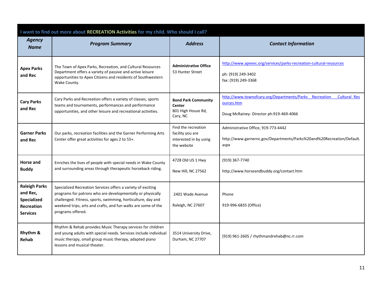<span id="page-10-0"></span>

|                                                                                         | I want to find out more about RECREATION Activities for my child. Who should I call?                                                                                                                                                                                             |                                                                                  |                                                                                                                                        |  |  |
|-----------------------------------------------------------------------------------------|----------------------------------------------------------------------------------------------------------------------------------------------------------------------------------------------------------------------------------------------------------------------------------|----------------------------------------------------------------------------------|----------------------------------------------------------------------------------------------------------------------------------------|--|--|
| <b>Agency</b><br><b>Name</b>                                                            | <b>Program Summary</b>                                                                                                                                                                                                                                                           | <b>Address</b>                                                                   | <b>Contact Information</b>                                                                                                             |  |  |
| <b>Apex Parks</b><br>and Rec                                                            | The Town of Apex Parks, Recreation, and Cultural Resources<br>Department offers a variety of passive and active leisure<br>opportunities to Apex Citizens and residents of Southwestern<br>Wake County.                                                                          | <b>Administrative Office</b><br>53 Hunter Street                                 | http://www.apexnc.org/services/parks-recreation-cultural-resources<br>ph: (919) 249-3402<br>fax: (919) 249-3368                        |  |  |
| <b>Cary Parks</b><br>and Rec                                                            | Cary Parks and Recreation offers a variety of classes, sports<br>teams and tournaments, performances and performance<br>opportunities, and other leisure and recreational activities.                                                                                            | <b>Bond Park Community</b><br>Center<br>801 High House Rd,<br>Cary, NC           | http://www.townofcary.org/Departments/Parks Recreation<br><b>Cultural Res</b><br>ources.htm<br>Doug McRainey- Director ph:919-469-4066 |  |  |
| <b>Garner Parks</b><br>and Rec                                                          | Our parks, recreation facilities and the Garner Performing Arts<br>Center offer great activities for ages 2 to 55+.                                                                                                                                                              | Find the recreation<br>facility you are<br>interested in by using<br>the website | Administrative Office, 919-773-4442<br>http://www.garnernc.gov/Departments/Parks%20and%20Recreation/Default.<br>aspx                   |  |  |
| Horse and<br><b>Buddy</b>                                                               | Enriches the lives of people with special needs in Wake County<br>and surrounding areas through therapeutic horseback riding.                                                                                                                                                    | 4728 Old US 1 Hwy<br>New Hill, NC 27562                                          | (919) 367-7740<br>http://www.horseandbuddy.org/contact.htm                                                                             |  |  |
| <b>Raleigh Parks</b><br>and Rec,<br>Specialized<br><b>Recreation</b><br><b>Services</b> | Specialized Recreation Services offers a variety of exciting<br>programs for patrons who are developmentally or physically<br>challenged. Fitness, sports, swimming, horticulture, day and<br>weekend trips, arts and crafts, and fun walks are some of the<br>programs offered. | 2401 Wade Avenue<br>Raleigh, NC 27607                                            | Phone<br>919-996-6835 (Office)                                                                                                         |  |  |
| Rhythm &<br><b>Rehab</b>                                                                | Rhythm & Rehab provides Music Therapy services for children<br>and young adults with special needs. Services include individual<br>music therapy, small group music therapy, adapted piano<br>lessons and musical theater.                                                       | 3514 University Drive,<br>Durham, NC 27707                                       | (919) 961-2605 / rhythmandrehab@nc.rr.com                                                                                              |  |  |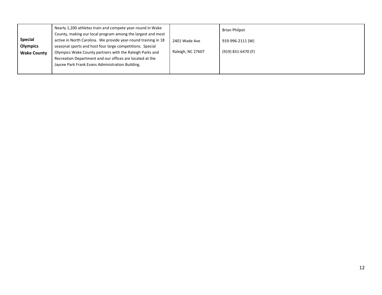|                    | Nearly 1,200 athletes train and compete year-round in Wake     |                   | <b>Brian Philpot</b> |
|--------------------|----------------------------------------------------------------|-------------------|----------------------|
|                    | County, making our local program among the largest and most    |                   |                      |
| <b>Special</b>     | active in North Carolina. We provide year-round training in 18 | 2401 Wade Ave     | 919-996-2111 (W)     |
| <b>Olympics</b>    | seasonal sports and host four large competitions. Special      |                   |                      |
| <b>Wake County</b> | Olympics Wake County partners with the Raleigh Parks and       | Raleigh, NC 27607 | (919) 831-6470 (F)   |
|                    | Recreation Department and our offices are located at the       |                   |                      |
|                    | Jaycee Park Frank Evans Administration Building.               |                   |                      |
|                    |                                                                |                   |                      |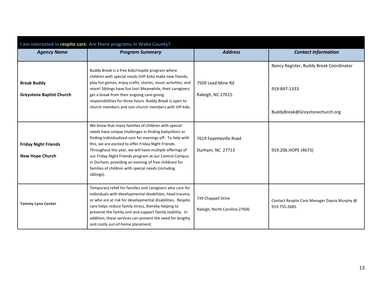<span id="page-12-0"></span>

| I am interested in respite care. Are there programs in Wake County? |                                                                                                                                                                                                                                                                                                                                                                                                                                                                                      |                                                     |                                                                                           |  |
|---------------------------------------------------------------------|--------------------------------------------------------------------------------------------------------------------------------------------------------------------------------------------------------------------------------------------------------------------------------------------------------------------------------------------------------------------------------------------------------------------------------------------------------------------------------------|-----------------------------------------------------|-------------------------------------------------------------------------------------------|--|
| <b>Agency Name</b>                                                  | <b>Program Summary</b>                                                                                                                                                                                                                                                                                                                                                                                                                                                               | <b>Address</b>                                      | <b>Contact Information</b>                                                                |  |
| <b>Break Buddy</b><br><b>Greystone Baptist Church</b>               | Buddy Break is a free kids/respite program where<br>children with special needs (VIP kids) make new friends,<br>play fun games, enjoy crafts, stories, music activities, and<br>more! Siblings have fun too! Meanwhile, their caregivers<br>get a break from their ongoing care-giving<br>responsibilities for three hours. Buddy Break is open to<br>church members and non-church members with VIP kids.                                                                           | 7509 Lead Mine Rd<br>Raleigh, NC 27615              | Nancy Register, Buddy Break Coordinator<br>919-847-1333<br>BuddyBreak@Greystonechurch.org |  |
| <b>Friday Night Friends</b><br><b>New Hope Church</b>               | We know that many families of children with special<br>needs have unique challenges in finding babysitters or<br>finding individualized care for evenings off. To help with<br>this, we are excited to offer Friday Night Friends.<br>Throughout the year, we will have multiple offerings of<br>our Friday Night Friends program at our Central Campus<br>in Durham, providing an evening of free childcare for<br>families of children with special needs (including<br>siblings). | 7619 Fayetteville Road<br>Durham, NC 27713          | 919.206.HOPE (4673)                                                                       |  |
| <b>Tammy Lynn Center</b>                                            | Temporary relief for families and caregivers who care for<br>individuals with developmental disabilities, head trauma,<br>or who are at risk for developmental disabilities. Respite<br>care helps reduce family stress, thereby helping to<br>preserve the family unit and support family stability. In<br>addition, these services can prevent the need for lengthy<br>and costly out-of-home placement.                                                                           | 739 Chappell Drive<br>Raleigh, North Carolina 27606 | Contact Respite Care Manager Dayna Murphy @<br>919-755-2685.                              |  |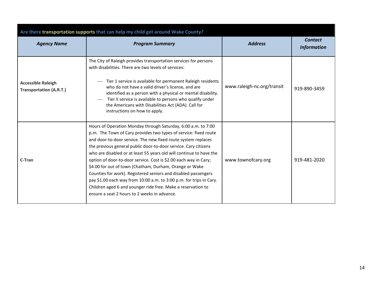<span id="page-13-0"></span>

| Are there transportation supports that can help my child get around Wake County? |                                                                                                                                                                                                                                                                                                                                                                                                                                                                                                                                                                                                                                                                                                                                      |                            |                                      |  |  |
|----------------------------------------------------------------------------------|--------------------------------------------------------------------------------------------------------------------------------------------------------------------------------------------------------------------------------------------------------------------------------------------------------------------------------------------------------------------------------------------------------------------------------------------------------------------------------------------------------------------------------------------------------------------------------------------------------------------------------------------------------------------------------------------------------------------------------------|----------------------------|--------------------------------------|--|--|
| <b>Agency Name</b><br><b>Program Summary</b>                                     |                                                                                                                                                                                                                                                                                                                                                                                                                                                                                                                                                                                                                                                                                                                                      | <b>Address</b>             | <b>Contact</b><br><b>Information</b> |  |  |
| <b>Accessible Raleigh</b><br><b>Transportation (A.R.T.)</b>                      | The City of Raleigh provides transportation services for persons<br>with disabilities. There are two levels of services:<br>Tier 1 service is available for permanent Raleigh residents<br>who do not have a valid driver's license, and are<br>identified as a person with a physical or mental disability.<br>Tier II service is available to persons who qualify under<br>the Americans with Disabilities Act (ADA). Call for<br>instructions on how to apply.                                                                                                                                                                                                                                                                    | www.raleigh-nc.org/transit | 919-890-3459                         |  |  |
| C-Tran                                                                           | Hours of Operation Monday through Saturday, 6:00 a.m. to 7:00<br>p.m. The Town of Cary provides two types of service: fixed route<br>and door-to-door service. The new fixed route system replaces<br>the previous general public door-to-door service. Cary citizens<br>who are disabled or at least 55 years old will continue to have the<br>option of door-to-door service. Cost is \$2.00 each way in Cary;<br>\$4.00 for out of town (Chatham, Durham, Orange or Wake<br>Counties for work). Registered seniors and disabled passengers<br>pay \$1.00 each way from 10:00 a.m. to 3:00 p.m. for trips in Cary.<br>Children aged 6 and younger ride free. Make a reservation to<br>ensure a seat 2 hours to 2 weeks in advance. | www.townofcary.org         | 919-481-2020                         |  |  |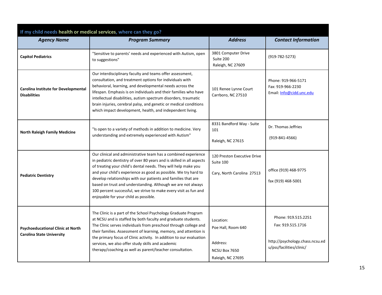<span id="page-14-0"></span>

| If my child needs health or medical services, where can they go?             |                                                                                                                                                                                                                                                                                                                                                                                                                                                                                                                            |                                                                                   |                                                                                                         |  |
|------------------------------------------------------------------------------|----------------------------------------------------------------------------------------------------------------------------------------------------------------------------------------------------------------------------------------------------------------------------------------------------------------------------------------------------------------------------------------------------------------------------------------------------------------------------------------------------------------------------|-----------------------------------------------------------------------------------|---------------------------------------------------------------------------------------------------------|--|
| <b>Agency Name</b>                                                           | <b>Program Summary</b>                                                                                                                                                                                                                                                                                                                                                                                                                                                                                                     | <b>Address</b>                                                                    | <b>Contact Information</b>                                                                              |  |
| <b>Capitol Pediatrics</b>                                                    | "Sensitive to parents' needs and experienced with Autism, open<br>to suggestions"                                                                                                                                                                                                                                                                                                                                                                                                                                          | 3801 Computer Drive<br>Suite 200<br>Raleigh, NC 27609                             | $(919-782-5273)$                                                                                        |  |
| <b>Carolina Institute for Developmental</b><br><b>Disabilities</b>           | Our interdisciplinary faculty and teams offer assessment,<br>consultation, and treatment options for individuals with<br>behavioral, learning, and developmental needs across the<br>lifespan. Emphasis is on individuals and their families who have<br>intellectual disabilities, autism spectrum disorders, traumatic<br>brain injuries, cerebral palsy, and genetic or medical conditions<br>which impact development, health, and independent living.                                                                 | 101 Renee Lynne Court<br>Carrboro, NC 27510                                       | Phone: 919-966-5171<br>Fax: 919-966-2230<br>Email: Info@cidd.unc.edu                                    |  |
| <b>North Raleigh Family Medicine</b>                                         | "Is open to a variety of methods in addition to medicine. Very<br>understanding and extremely experienced with Autism"                                                                                                                                                                                                                                                                                                                                                                                                     | 8331 Bandford Way - Suite<br>101<br>Raleigh, NC 27615                             | Dr. Thomas Jeffries<br>$(919 - 841 - 4566)$                                                             |  |
| <b>Pediatric Dentistry</b>                                                   | Our clinical and administrative team has a combined experience<br>in pediatric dentistry of over 80 years and is skilled in all aspects<br>of treating your child's dental needs. They will help make you<br>and your child's experience as good as possible. We try hard to<br>develop relationships with our patients and families that are<br>based on trust and understanding. Although we are not always<br>100 percent successful, we strive to make every visit as fun and<br>enjoyable for your child as possible. | 120 Preston Executive Drive<br>Suite 100<br>Cary, North Carolina 27513            | office (919) 468-9775<br>fax (919) 468-5001                                                             |  |
| <b>Psychoeducational Clinic at North</b><br><b>Carolina State University</b> | The Clinic is a part of the School Psychology Graduate Program<br>at NCSU and is staffed by both faculty and graduate students.<br>The Clinic serves individuals from preschool through college and<br>their families. Assessment of learning, memory, and attention is<br>the primary focus of Clinic activity. In addition to our evaluation<br>services, we also offer study skills and academic<br>therapy/coaching as well as parent/teacher consultation.                                                            | Location:<br>Poe Hall, Room 640<br>Address:<br>NCSU Box 7650<br>Raleigh, NC 27695 | Phone: 919.515.2251<br>Fax: 919.515.1716<br>http://psychology.chass.ncsu.ed<br>u/pss/facilities/clinic/ |  |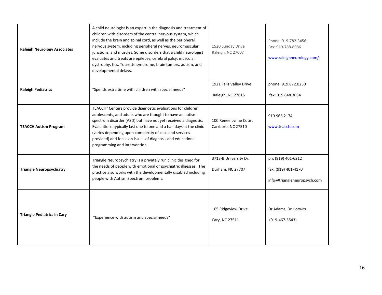| <b>Raleigh Neurology Associates</b> | A child neurologist is an expert in the diagnosis and treatment of<br>children with disorders of the central nervous system, which<br>include the brain and spinal cord, as well as the peripheral<br>nervous system, including peripheral nerves, neuromuscular<br>junctions, and muscles. Some disorders that a child neurologist<br>evaluates and treats are epilepsy, cerebral palsy, muscular<br>dystrophy, tics, Tourette syndrome, brain tumors, autism, and<br>developmental delays. | 1520 Sunday Drive<br>Raleigh, NC 27607       | Phone: 919-782-3456<br>Fax: 919-788-8986<br>www.raleighneurology.com/    |
|-------------------------------------|----------------------------------------------------------------------------------------------------------------------------------------------------------------------------------------------------------------------------------------------------------------------------------------------------------------------------------------------------------------------------------------------------------------------------------------------------------------------------------------------|----------------------------------------------|--------------------------------------------------------------------------|
| <b>Raleigh Pediatrics</b>           | "Spends extra time with children with special needs"                                                                                                                                                                                                                                                                                                                                                                                                                                         | 1921 Falls Valley Drive<br>Raleigh, NC 27615 | phone: 919.872.0250<br>fax: 919.848.3054                                 |
| <b>TEACCH Autism Program</b>        | TEACCH® Centers provide diagnostic evaluations for children,<br>adolescents, and adults who are thought to have an autism<br>spectrum disorder (ASD) but have not yet received a diagnosis.<br>Evaluations typically last one to one and a half days at the clinic<br>(varies depending upon complexity of case and services<br>provided) and focus on issues of diagnosis and educational<br>programming and intervention.                                                                  | 100 Renee Lynne Court<br>Carrboro, NC 27510  | 919.966.2174<br>www.teacch.com                                           |
| <b>Triangle Neuropsychiatry</b>     | Triangle Neuropsychiatry is a privately run clinic designed for<br>the needs of people with emotional or psychiatric illnesses. The<br>practice also works with the developmentally disabled including<br>people with Autism Spectrum problems.                                                                                                                                                                                                                                              | 3713-B University Dr.<br>Durham, NC 27707    | ph: (919) 401-6212<br>fax: (919) 401-4170<br>info@triangleneuropsych.com |
| <b>Triangle Pediatrics in Cary</b>  | "Experience with autism and special needs"                                                                                                                                                                                                                                                                                                                                                                                                                                                   | 105 Ridgeview Drive<br>Cary, NC 27511        | Dr Adams, Dr Horwitz<br>$(919-467-5543)$                                 |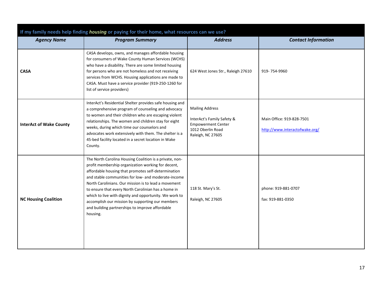<span id="page-16-0"></span>

| If my family needs help finding housing or paying for their home, what resources can we use? |                                                                                                                                                                                                                                                                                                                                                                                                                                                                                                                         |                                                                                                                             |                                                             |  |
|----------------------------------------------------------------------------------------------|-------------------------------------------------------------------------------------------------------------------------------------------------------------------------------------------------------------------------------------------------------------------------------------------------------------------------------------------------------------------------------------------------------------------------------------------------------------------------------------------------------------------------|-----------------------------------------------------------------------------------------------------------------------------|-------------------------------------------------------------|--|
| <b>Agency Name</b>                                                                           | <b>Program Summary</b>                                                                                                                                                                                                                                                                                                                                                                                                                                                                                                  | <b>Address</b>                                                                                                              | <b>Contact Information</b>                                  |  |
| <b>CASA</b>                                                                                  | CASA develops, owns, and manages affordable housing<br>for consumers of Wake County Human Services (WCHS)<br>who have a disability. There are some limited housing<br>for persons who are not homeless and not receiving<br>services from WCHS. Housing applications are made to<br>CASA. Must have a service provider (919-250-1260 for<br>list of service providers)                                                                                                                                                  | 624 West Jones Str., Raleigh 27610                                                                                          | 919-754-9960                                                |  |
| <b>InterAct of Wake County</b>                                                               | InterAct's Residential Shelter provides safe housing and<br>a comprehensive program of counseling and advocacy<br>to women and their children who are escaping violent<br>relationships. The women and children stay for eight<br>weeks, during which time our counselors and<br>advocates work extensively with them. The shelter is a<br>45-bed facility located in a secret location in Wake<br>County.                                                                                                              | <b>Mailing Address</b><br>InterAct's Family Safety &<br><b>Empowerment Center</b><br>1012 Oberlin Road<br>Raleigh, NC 27605 | Main Office: 919-828-7501<br>http://www.interactofwake.org/ |  |
| <b>NC Housing Coalition</b>                                                                  | The North Carolina Housing Coalition is a private, non-<br>profit membership organization working for decent,<br>affordable housing that promotes self-determination<br>and stable communities for low- and moderate-income<br>North Carolinians. Our mission is to lead a movement<br>to ensure that every North Carolinian has a home in<br>which to live with dignity and opportunity. We work to<br>accomplish our mission by supporting our members<br>and building partnerships to improve affordable<br>housing. | 118 St. Mary's St.<br>Raleigh, NC 27605                                                                                     | phone: 919-881-0707<br>fax: 919-881-0350                    |  |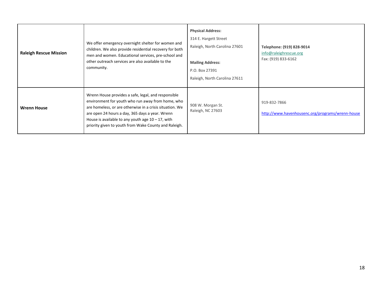| <b>Raleigh Rescue Mission</b> | We offer emergency overnight shelter for women and<br>children. We also provide residential recovery for both<br>men and women. Educational services, pre-school and<br>other outreach services are also available to the<br>community.                                                                                                  | <b>Physical Address:</b><br>314 E. Hargett Street<br>Raleigh, North Carolina 27601<br><b>Mailing Address:</b><br>P.O. Box 27391<br>Raleigh, North Carolina 27611 | Telephone: (919) 828-9014<br>info@raleighrescue.org<br>Fax: (919) 833-6162 |
|-------------------------------|------------------------------------------------------------------------------------------------------------------------------------------------------------------------------------------------------------------------------------------------------------------------------------------------------------------------------------------|------------------------------------------------------------------------------------------------------------------------------------------------------------------|----------------------------------------------------------------------------|
| <b>Wrenn House</b>            | Wrenn House provides a safe, legal, and responsible<br>environment for youth who run away from home, who<br>are homeless, or are otherwise in a crisis situation. We<br>are open 24 hours a day, 365 days a year. Wrenn<br>House is available to any youth age $10 - 17$ , with<br>priority given to youth from Wake County and Raleigh. | 908 W. Morgan St.<br>Raleigh, NC 27603                                                                                                                           | 919-832-7866<br>http://www.havenhousenc.org/programs/wrenn-house           |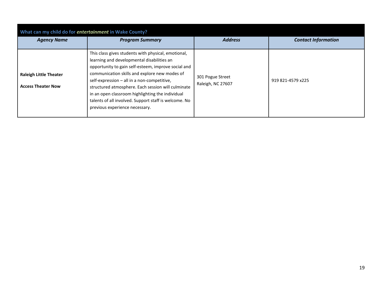<span id="page-18-0"></span>

| What can my child do for entertainment in Wake County?     |                                                                                                                                                                                                                                                                                                                                                                                                                                                               |                                       |                            |  |
|------------------------------------------------------------|---------------------------------------------------------------------------------------------------------------------------------------------------------------------------------------------------------------------------------------------------------------------------------------------------------------------------------------------------------------------------------------------------------------------------------------------------------------|---------------------------------------|----------------------------|--|
| <b>Agency Name</b>                                         | <b>Program Summary</b>                                                                                                                                                                                                                                                                                                                                                                                                                                        | <b>Address</b>                        | <b>Contact Information</b> |  |
| <b>Raleigh Little Theater</b><br><b>Access Theater Now</b> | This class gives students with physical, emotional,<br>learning and developmental disabilities an<br>opportunity to gain self-esteem, improve social and<br>communication skills and explore new modes of<br>self-expression - all in a non-competitive,<br>structured atmosphere. Each session will culminate<br>in an open classroom highlighting the individual<br>talents of all involved. Support staff is welcome. No<br>previous experience necessary. | 301 Pogue Street<br>Raleigh, NC 27607 | 919 821-4579 x225          |  |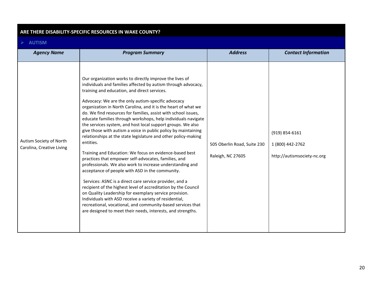#### <span id="page-19-0"></span>**ARE THERE DISABILITY-SPECIFIC RESOURCES IN WAKE COUNTY?**

#### <span id="page-19-1"></span>**AUTISM**

| <b>Agency Name</b>                                   | <b>Program Summary</b>                                                                                                                                                                                                                                                                                                                                                                                                                                                                                                                                                                                                                                                                                                                                                                                                                                                                                                                                                                                                                                                                                                                                                                                                                                                | <b>Address</b>                                   | <b>Contact Information</b>                                        |
|------------------------------------------------------|-----------------------------------------------------------------------------------------------------------------------------------------------------------------------------------------------------------------------------------------------------------------------------------------------------------------------------------------------------------------------------------------------------------------------------------------------------------------------------------------------------------------------------------------------------------------------------------------------------------------------------------------------------------------------------------------------------------------------------------------------------------------------------------------------------------------------------------------------------------------------------------------------------------------------------------------------------------------------------------------------------------------------------------------------------------------------------------------------------------------------------------------------------------------------------------------------------------------------------------------------------------------------|--------------------------------------------------|-------------------------------------------------------------------|
| Autism Society of North<br>Carolina, Creative Living | Our organization works to directly improve the lives of<br>individuals and families affected by autism through advocacy,<br>training and education, and direct services.<br>Advocacy: We are the only autism-specific advocacy<br>organization in North Carolina, and it is the heart of what we<br>do. We find resources for families, assist with school issues,<br>educate families through workshops, help individuals navigate<br>the services system, and host local support groups. We also<br>give those with autism a voice in public policy by maintaining<br>relationships at the state legislature and other policy-making<br>entities.<br>Training and Education: We focus on evidence-based best<br>practices that empower self-advocates, families, and<br>professionals. We also work to increase understanding and<br>acceptance of people with ASD in the community.<br>Services: ASNC is a direct care service provider, and a<br>recipient of the highest level of accreditation by the Council<br>on Quality Leadership for exemplary service provision.<br>Individuals with ASD receive a variety of residential,<br>recreational, vocational, and community-based services that<br>are designed to meet their needs, interests, and strengths. | 505 Oberlin Road, Suite 230<br>Raleigh, NC 27605 | (919) 854-6161<br>1 (800) 442-2762<br>http://autismsociety-nc.org |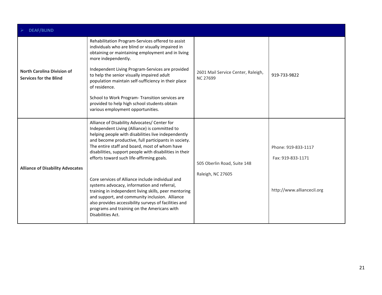<span id="page-20-0"></span>

| <b>DEAF/BLIND</b>                                                  |                                                                                                                                                                                                                                                                                                                                                                                                                           |                                                       |                                          |  |
|--------------------------------------------------------------------|---------------------------------------------------------------------------------------------------------------------------------------------------------------------------------------------------------------------------------------------------------------------------------------------------------------------------------------------------------------------------------------------------------------------------|-------------------------------------------------------|------------------------------------------|--|
|                                                                    | Rehabilitation Program-Services offered to assist<br>individuals who are blind or visually impaired in<br>obtaining or maintaining employment and in living<br>more independently.                                                                                                                                                                                                                                        |                                                       |                                          |  |
| <b>North Carolina Division of</b><br><b>Services for the Blind</b> | Independent Living Program-Services are provided<br>to help the senior visually impaired adult<br>population maintain self-sufficiency in their place<br>of residence.                                                                                                                                                                                                                                                    | 2601 Mail Service Center, Raleigh,<br><b>NC 27699</b> | 919-733-9822                             |  |
|                                                                    | School to Work Program- Transition services are<br>provided to help high school students obtain<br>various employment opportunities.                                                                                                                                                                                                                                                                                      |                                                       |                                          |  |
| <b>Alliance of Disability Advocates</b>                            | Alliance of Disability Advocates/ Center for<br>Independent Living (Alliance) is committed to<br>helping people with disabilities live independently<br>and become productive, full participants in society.<br>The entire staff and board, most of whom have<br>disabilities, support people with disabilities in their<br>efforts toward such life-affirming goals.<br>Core services of Alliance include individual and | 505 Oberlin Road, Suite 148<br>Raleigh, NC 27605      | Phone: 919-833-1117<br>Fax: 919-833-1171 |  |
|                                                                    | systems advocacy, information and referral,<br>training in independent living skills, peer mentoring<br>and support, and community inclusion. Alliance<br>also provides accessibility surveys of facilities and<br>programs and training on the Americans with<br>Disabilities Act.                                                                                                                                       |                                                       | http://www.alliancecil.org               |  |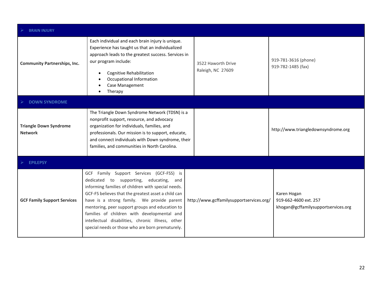<span id="page-21-2"></span><span id="page-21-1"></span><span id="page-21-0"></span>

| <b>BRAIN INJURY</b>                             |                                                                                                                                                                                                                                                                                                                                                                                                                                                           |                                          |                                                                             |
|-------------------------------------------------|-----------------------------------------------------------------------------------------------------------------------------------------------------------------------------------------------------------------------------------------------------------------------------------------------------------------------------------------------------------------------------------------------------------------------------------------------------------|------------------------------------------|-----------------------------------------------------------------------------|
| <b>Community Partnerships, Inc.</b>             | Each individual and each brain injury is unique.<br>Experience has taught us that an individualized<br>approach leads to the greatest success. Services in<br>our program include:<br>Cognitive Rehabilitation<br>Occupational Information<br>Case Management<br>Therapy                                                                                                                                                                                  | 3522 Haworth Drive<br>Raleigh, NC 27609  | 919-781-3616 (phone)<br>919-782-1485 (fax)                                  |
| <b>DOWN SYNDROME</b>                            |                                                                                                                                                                                                                                                                                                                                                                                                                                                           |                                          |                                                                             |
| <b>Triangle Down Syndrome</b><br><b>Network</b> | The Triangle Down Syndrome Network (TDSN) is a<br>nonprofit support, resource, and advocacy<br>organization for individuals, families, and<br>professionals. Our mission is to support, educate,<br>and connect individuals with Down syndrome, their<br>families, and communities in North Carolina.                                                                                                                                                     |                                          | http://www.triangledownsyndrome.org                                         |
| $\triangleright$ EPILEPSY                       |                                                                                                                                                                                                                                                                                                                                                                                                                                                           |                                          |                                                                             |
| <b>GCF Family Support Services</b>              | GCF Family Support Services (GCF-FSS) is<br>dedicated to supporting, educating, and<br>informing families of children with special needs.<br>GCF-FS believes that the greatest asset a child can<br>have is a strong family. We provide parent<br>mentoring, peer support groups and education to<br>families of children with developmental and<br>intellectual disabilities, chronic illness, other<br>special needs or those who are born prematurely. | http://www.gcffamilysupportservices.org/ | Karen Hogan<br>919-662-4600 ext. 257<br>khogan@gcffamilysupportservices.org |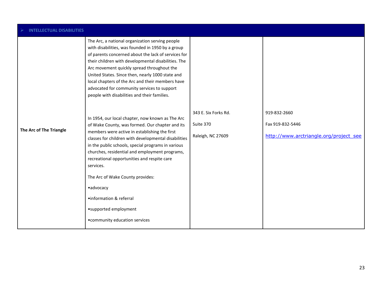<span id="page-22-0"></span>

| <b>INTELLECTUAL DISABILITIES</b> |                                                                                                                                                                                                                                                                                                                                                                                                                                                                                                                                                                                                                                 |                                   |                                        |  |
|----------------------------------|---------------------------------------------------------------------------------------------------------------------------------------------------------------------------------------------------------------------------------------------------------------------------------------------------------------------------------------------------------------------------------------------------------------------------------------------------------------------------------------------------------------------------------------------------------------------------------------------------------------------------------|-----------------------------------|----------------------------------------|--|
| The Arc of The Triangle          | The Arc, a national organization serving people<br>with disabilities, was founded in 1950 by a group<br>of parents concerned about the lack of services for<br>their children with developmental disabilities. The<br>Arc movement quickly spread throughout the<br>United States. Since then, nearly 1000 state and<br>local chapters of the Arc and their members have<br>advocated for community services to support<br>people with disabilities and their families.<br>In 1954, our local chapter, now known as The Arc<br>of Wake County, was formed. Our chapter and its<br>members were active in establishing the first | 343 E. Six Forks Rd.<br>Suite 370 | 919-832-2660<br>Fax 919-832-5446       |  |
|                                  | classes for children with developmental disabilities<br>in the public schools, special programs in various<br>churches, residential and employment programs,<br>recreational opportunities and respite care<br>services.<br>The Arc of Wake County provides:<br>•advocacy<br>•information & referral<br>•supported employment<br>• community education services                                                                                                                                                                                                                                                                 | Raleigh, NC 27609                 | http://www.arctriangle.org/project_see |  |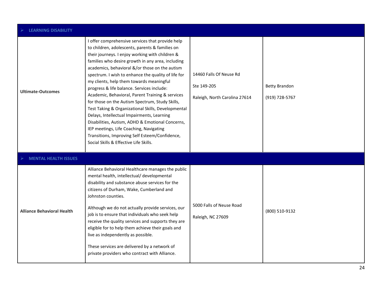<span id="page-23-1"></span><span id="page-23-0"></span>

| <b>LEARNING DISABILITY</b>        |                                                                                                                                                                                                                                                                                                                                                                                                                                                                                                                                                                                                                                                                                                                                                                                                                      |                                                                         |                                        |
|-----------------------------------|----------------------------------------------------------------------------------------------------------------------------------------------------------------------------------------------------------------------------------------------------------------------------------------------------------------------------------------------------------------------------------------------------------------------------------------------------------------------------------------------------------------------------------------------------------------------------------------------------------------------------------------------------------------------------------------------------------------------------------------------------------------------------------------------------------------------|-------------------------------------------------------------------------|----------------------------------------|
| <b>Ultimate-Outcomes</b>          | I offer comprehensive services that provide help<br>to children, adolescents, parents & families on<br>their journeys. I enjoy working with children &<br>families who desire growth in any area, including<br>academics, behavioral &/or those on the autism<br>spectrum. I wish to enhance the quality of life for<br>my clients, help them towards meaningful<br>progress & life balance. Services include:<br>Academic, Behavioral, Parent Training & services<br>for those on the Autism Spectrum, Study Skills,<br>Test Taking & Organizational Skills, Developmental<br>Delays, Intellectual Impairments, Learning<br>Disabilities, Autism, ADHD & Emotional Concerns,<br>IEP meetings, Life Coaching, Navigating<br>Transitions, Improving Self Esteem/Confidence,<br>Social Skills & Effective Life Skills. | 14460 Falls Of Neuse Rd<br>Ste 149-205<br>Raleigh, North Carolina 27614 | <b>Betty Brandon</b><br>(919) 728-5767 |
| <b>MENTAL HEALTH ISSUES</b>       |                                                                                                                                                                                                                                                                                                                                                                                                                                                                                                                                                                                                                                                                                                                                                                                                                      |                                                                         |                                        |
| <b>Alliance Behavioral Health</b> | Alliance Behavioral Healthcare manages the public<br>mental health, intellectual/ developmental<br>disability and substance abuse services for the<br>citizens of Durham, Wake, Cumberland and<br>Johnston counties.<br>Although we do not actually provide services, our<br>job is to ensure that individuals who seek help<br>receive the quality services and supports they are<br>eligible for to help them achieve their goals and<br>live as independently as possible.<br>These services are delivered by a network of<br>private providers who contract with Alliance.                                                                                                                                                                                                                                       | 5000 Falls of Neuse Road<br>Raleigh, NC 27609                           | (800) 510-9132                         |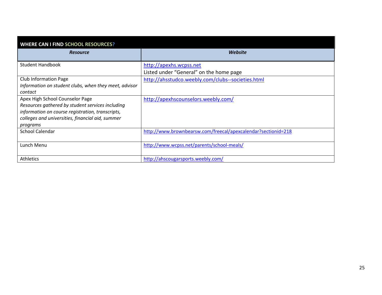<span id="page-24-0"></span>

| <b>WHERE CAN I FIND SCHOOL RESOURCES?</b>             |                                                               |
|-------------------------------------------------------|---------------------------------------------------------------|
| <b>Resource</b>                                       | Website                                                       |
| <b>Student Handbook</b>                               | http://apexhs.wcpss.net                                       |
|                                                       | Listed under "General" on the home page                       |
| <b>Club Information Page</b>                          | http://ahsstudco.weebly.com/clubs--societies.html             |
| Information on student clubs, when they meet, advisor |                                                               |
| contact                                               |                                                               |
| Apex High School Counselor Page                       | http://apexhscounselors.weebly.com/                           |
| Resources gathered by student services including      |                                                               |
| information on course registration, transcripts,      |                                                               |
| colleges and universities, financial aid, summer      |                                                               |
| programs                                              |                                                               |
| <b>School Calendar</b>                                | http://www.brownbearsw.com/freecal/apexcalendar?sectionid=218 |
|                                                       |                                                               |
| Lunch Menu                                            | http://www.wcpss.net/parents/school-meals/                    |
|                                                       |                                                               |
| <b>Athletics</b>                                      | http://ahscougarsports.weebly.com/                            |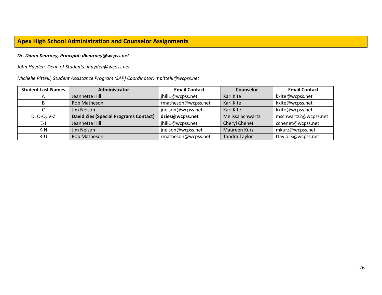### <span id="page-25-0"></span>**Apex High School Administration and Counselor Assignments**

#### *Dr. Diann Kearney, Principal: dkearney@wcpss.net*

#### *John Hayden, Dean of Students: jhayden@wcpss.net*

#### *Michelle Pittelli, Student Assistance Program (SAP) Coordinator: mpittelli@wcpss.net*

| <b>Student Last Names</b> | Administrator                                | <b>Email Contact</b> | <b>Counselor</b>     | <b>Email Contact</b> |
|---------------------------|----------------------------------------------|----------------------|----------------------|----------------------|
| A                         | Jeannette Hill                               | jhill1@wcpss.net     | Kari Kite            | kkite@wcpss.net      |
| B.                        | Rob Matheson                                 | rmatheson@wcpss.net  | Kari Kite            | kkite@wcpss.net      |
|                           | Jim Nelson                                   | jnelson@wcpss.net    | Kari Kite            | kkite@wcpss.net      |
| D, O-Q, V-Z               | <b>David Zies (Special Programs Contact)</b> | dzies@wcpss.net      | Melissa Schwartz     | mschwartz2@wcpss.net |
| E-J                       | Jeannette Hill                               | jhill1@wcpss.net     | <b>Cheryl Chenet</b> | cchenet@wcpss.net    |
| $K-N$                     | Jim Nelson                                   | jnelson@wcpss.net    | Maureen Kurz         | mkurz@wcpss.net      |
| R-U                       | Rob Matheson                                 | rmatheson@wcpss.net  | <b>Tandra Taylor</b> | ttaylor3@wcpss.net   |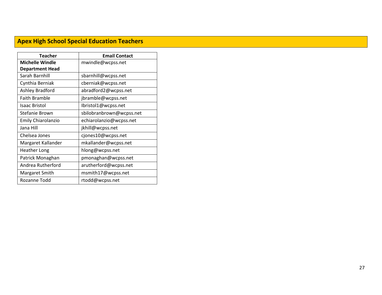# <span id="page-26-0"></span>**Apex High School Special Education Teachers**

| Teacher                | <b>Email Contact</b>     |
|------------------------|--------------------------|
| <b>Michelle Windle</b> | mwindle@wcpss.net        |
| <b>Department Head</b> |                          |
| Sarah Barnhill         | sbarnhill@wcpss.net      |
| Cynthia Berniak        | cberniak@wcpss.net       |
| Ashley Bradford        | abradford2@wcpss.net     |
| <b>Faith Bramble</b>   | jbramble@wcpss.net       |
| <b>Isaac Bristol</b>   | Ibristol1@wcpss.net      |
| Stefanie Brown         | sbilobranbrown@wcpss.net |
| Emily Chiarolanzio     | echiarolanzio@wcpss.net  |
| Jana Hill              | jkhill@wcpss.net         |
| Chelsea Jones          | cjones10@wcpss.net       |
| Margaret Kallander     | mkallander@wcpss.net     |
| <b>Heather Long</b>    | hlong@wcpss.net          |
| Patrick Monaghan       | pmonaghan@wcpss.net      |
| Andrea Rutherford      | arutherford@wcpss.net    |
| Margaret Smith         | msmith17@wcpss.net       |
| Rozanne Todd           | rtodd@wcpss.net          |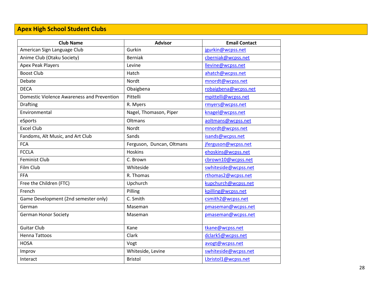# <span id="page-27-0"></span>**Apex High School Student Clubs**

| <b>Club Name</b>                           | <b>Advisor</b>            | <b>Email Contact</b> |
|--------------------------------------------|---------------------------|----------------------|
| American Sign Language Club                | Gurkin                    | jgurkin@wcpss.net    |
| Anime Club (Otaku Society)                 | <b>Berniak</b>            | cberniak@wcpss.net   |
| <b>Apex Peak Players</b>                   | Levine                    | llevine@wcpss.net    |
| <b>Boost Club</b>                          | Hatch                     | ahatch@wcpss.net     |
| Debate                                     | Nordt                     | mnordt@wcpss.net     |
| <b>DECA</b>                                | Obaigbena                 | robaigbena@wcpss.net |
| Domestic Violence Awareness and Prevention | Pittelli                  | mpittelli@wcpss.net  |
| <b>Drafting</b>                            | R. Myers                  | rmyers@wcpss.net     |
| Environmental                              | Nagel, Thomason, Piper    | knagel@wcpss.net     |
| eSports                                    | Oltmans                   | aoltmans@wcpss.net   |
| <b>Excel Club</b>                          | Nordt                     | mnordt@wcpss.net     |
| Fandoms, Alt Music, and Art Club           | Sands                     | isands@wcpss.net     |
| <b>FCA</b>                                 | Ferguson, Duncan, Oltmans | jferguson@wcpss.net  |
| <b>FCCLA</b>                               | <b>Hoskins</b>            | ehoskins@wcpss.net   |
| <b>Feminist Club</b>                       | C. Brown                  | cbrown10@wcpss.net   |
| Film Club                                  | Whiteside                 | swhiteside@wcpss.net |
| <b>FFA</b>                                 | R. Thomas                 | rthomas2@wcpss.net   |
| Free the Children (FTC)                    | Upchurch                  | kupchurch@wcpss.net  |
| French                                     | Pilling                   | kpilling@wcpss.net   |
| Game Development (2nd semester only)       | C. Smith                  | csmith2@wcpss.net    |
| German                                     | Maseman                   | pmaseman@wcpss.net   |
| <b>German Honor Society</b>                | Maseman                   | pmaseman@wcpss.net   |
| <b>Guitar Club</b>                         | Kane                      | tkane@wcpss.net      |
| <b>Henna Tattoos</b>                       | Clark                     | dclark5@wcpss.net    |
| <b>HOSA</b>                                | Vogt                      | avogt@wcpss.net      |
| Improv                                     | Whiteside, Levine         | swhiteside@wcpss.net |
| Interact                                   | <b>Bristol</b>            | Lbristol1@wcpss.net  |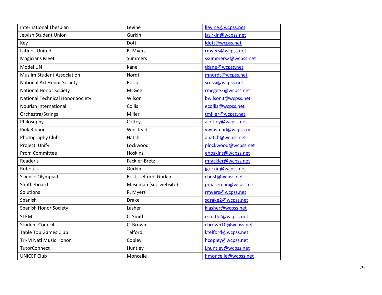| <b>International Thespian</b>     | Levine                | llevine@wcpss.net   |
|-----------------------------------|-----------------------|---------------------|
| Jewish Student Union              | Gurkin                | jgurkin@wcpss.net   |
| Key                               | Dott                  | ldott@wcpss.net     |
| <b>Latinos United</b>             | R. Myers              | rmyers@wcpss.net    |
| <b>Magicians Meet</b>             | <b>Summers</b>        | ssummers2@wcpss.net |
| Model UN                          | Kane                  | tkane@wcpss.net     |
| <b>Muslim Student Association</b> | Nordt                 | mnordt@wcpss.net    |
| <b>National Art Honor Society</b> | Rossi                 | srossi@wcpss.net    |
| <b>National Honor Society</b>     | McGee                 | rmcgee2@wcpss.net   |
| National Technical Honor Society  | Wilson                | bwilson3@wcpss.net  |
| Nourish International             | Collis                | ecollis@wcpss.net   |
| Orchestra/Strings                 | Miller                | tmiller@wcpss.net   |
| Philosophy                        | Coffey                | acoffey@wcpss.net   |
| Pink Ribbon                       | Winstead              | vwinstead@wcpss.net |
| Photography Club                  | Hatch                 | ahatch@wcpss.net    |
| Project Unify                     | Lockwood              | plockwood@wcpss.net |
| <b>Prom Committee</b>             | <b>Hoskins</b>        | ehoskins@wcpss.net  |
| Reader's                          | Fackler-Bretz         | mfackler@wcpss.net  |
| <b>Robotics</b>                   | Gurkin                | jgurkin@wcpss.net   |
| Science Olympiad                  | Bost, Telford, Gurkin | cbost@wcpss.net     |
| Shuffleboard                      | Maseman (see website) | pmaseman@wcpss.net  |
| Solutions                         | R. Myers              | rmyers@wcpss.net    |
| Spanish                           | <b>Drake</b>          | sdrake2@wcpss.net   |
| <b>Spanish Honor Society</b>      | Lasher                | klasher@wcpss.net   |
| <b>STEM</b>                       | C. Smith              | csmith2@wcpss.net   |
| <b>Student Council</b>            | C. Brown              | cbrown10@wcpss.net  |
| <b>Table Top Games Club</b>       | Telford               | ktelford@wcpss.net  |
| Tri-M Natl Music Honor            | Copley                | hcopley@wcpss.net   |
| <b>TutorConnect</b>               | Huntley               | Lhuntley@wcpss.net  |
| <b>UNICEF Club</b>                | Moncelle              | hmoncelle@wcpss.net |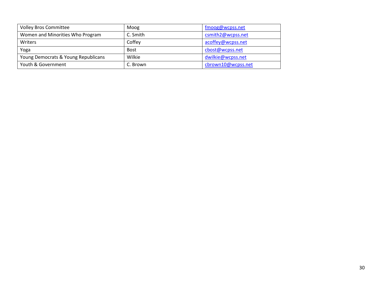| <b>Volley Bros Committee</b>        | Moog        | fmoog@wcpss.net    |
|-------------------------------------|-------------|--------------------|
| Women and Minorities Who Program    | C. Smith    | csmith2@wcpss.net  |
| Writers                             | Coffey      | acoffey@wcpss.net  |
| Yoga                                | <b>Bost</b> | cbost@wcpss.net    |
| Young Democrats & Young Republicans | Wilkie      | dwilkie@wcpss.net  |
| Youth & Government                  | C. Brown    | cbrown10@wcpss.net |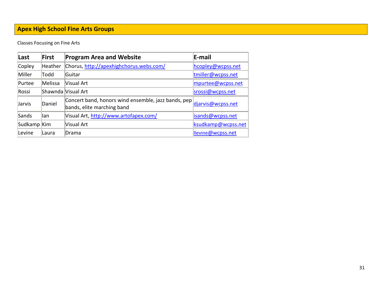# <span id="page-30-0"></span>**Apex High School Fine Arts Groups**

Classes Focusing on Fine Arts

| Last        | First   | <b>Program Area and Website</b>                                                   | <b>E-mail</b>      |
|-------------|---------|-----------------------------------------------------------------------------------|--------------------|
| Copley      | Heather | Chorus, http://apexhighchorus.webs.com/                                           | hcopley@wcpss.net  |
| Miller      | Todd    | lGuitar                                                                           | tmiller@wcpss.net  |
| Purtee      | Melissa | Visual Art                                                                        | mpurtee@wcpss.net  |
| Rossi       |         | Shawnda  Visual Art                                                               | srossi@wcpss.net   |
| Jarvis      | Daniel  | Concert band, honors wind ensemble, jazz bands, pep<br>bands, elite marching band | djarvis@wcpss.net  |
| Sands       | lan     | Visual Art, http://www.artofapex.com/                                             | isands@wcpss.net   |
| Sudkamp Kim |         | Visual Art                                                                        | ksudkamp@wcpss.net |
| Levine      | lLaura  | ∣Drama                                                                            | llevine@wcpss.net  |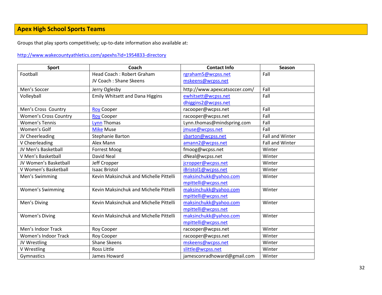# <span id="page-31-0"></span>**Apex High School Sports Teams**

Groups that play sports competitively; up-to-date information also available at:

#### <http://www.wakecountyathletics.com/apexhs?id=1954833-directory>

| Sport                        | Coach                                  | <b>Contact Info</b>           | Season                 |
|------------------------------|----------------------------------------|-------------------------------|------------------------|
| Football                     | Head Coach: Robert Graham              | rgraham5@wcpss.net            | Fall                   |
|                              | JV Coach: Shane Skeens                 | mskeens@wcpss.net             |                        |
| Men's Soccer                 | Jerry Oglesby                          | http://www.apexcatsoccer.com/ | Fall                   |
| Volleyball                   | <b>Emily Whitsett and Dana Higgins</b> | ewhitsett@wcpss.net           | Fall                   |
|                              |                                        | dhiggins2@wcpss.net           |                        |
| Men's Cross Country          | <b>Roy Cooper</b>                      | racooper@wcpss.net            | Fall                   |
| <b>Women's Cross Country</b> | <b>Roy Cooper</b>                      | racooper@wcpss.net            | Fall                   |
| <b>Women's Tennis</b>        | <b>Lynn Thomas</b>                     | Lynn.thomas@mindspring.com    | Fall                   |
| Women's Golf                 | <b>Mike Muse</b>                       | jmuse@wcpss.net               | Fall                   |
| JV Cheerleading              | <b>Stephanie Barton</b>                | sbarton@wcpss.net             | <b>Fall and Winter</b> |
| V Cheerleading               | Alex Mann                              | amann2@wcpss.net              | Fall and Winter        |
| JV Men's Basketball          | <b>Forrest Moog</b>                    | fmoog@wcpss.net               | Winter                 |
| V Men's Basketball           | David Neal                             | dNeal@wcpss.net               | Winter                 |
| JV Women's Basketball        | Jeff Cropper                           | jcropper@wcpss.net            | Winter                 |
| V Women's Basketball         | <b>Isaac Bristol</b>                   | iBristol1@wcpss.net           | Winter                 |
| Men's Swimming               | Kevin Maksinchuk and Michelle Pittelli | maksinchukk@yahoo.com         | Winter                 |
|                              |                                        | mpittelli@wcpss.net           |                        |
| <b>Women's Swimming</b>      | Kevin Maksinchuk and Michelle Pittelli | maksinchukk@yahoo.com         | Winter                 |
|                              |                                        | mpittelli@wcpss.net           |                        |
| Men's Diving                 | Kevin Maksinchuk and Michelle Pittelli | maksinchukk@yahoo.com         | Winter                 |
|                              |                                        | mpittelli@wcpss.net           |                        |
| <b>Women's Diving</b>        | Kevin Maksinchuk and Michelle Pittelli | maksinchukk@yahoo.com         | Winter                 |
|                              |                                        | mpittelli@wcpss.net           |                        |
| Men's Indoor Track           | Roy Cooper                             | racooper@wcpss.net            | Winter                 |
| <b>Women's Indoor Track</b>  | Roy Cooper                             | racooper@wcpss.net            | Winter                 |
| JV Wrestling                 | <b>Shane Skeens</b>                    | mskeens@wcpss.net             | Winter                 |
| V Wrestling                  | <b>Ross Little</b>                     | slittle@wcpss.net             | Winter                 |
| Gymnastics                   | James Howard                           | jamesconradhoward@gmail.com   | Winter                 |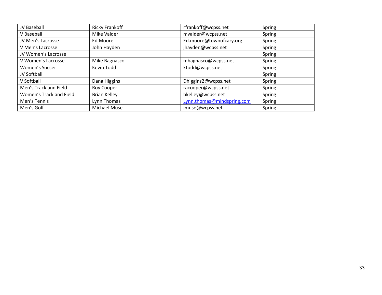| JV Baseball             | <b>Ricky Frankoff</b> | rfrankoff@wcpss.net        | Spring |
|-------------------------|-----------------------|----------------------------|--------|
| V Baseball              | Mike Valder           | mvalder@wcpss.net          | Spring |
| JV Men's Lacrosse       | Ed Moore              | Ed.moore@townofcary.org    | Spring |
| V Men's Lacrosse        | John Hayden           | jhayden@wcpss.net          | Spring |
| JV Women's Lacrosse     |                       |                            | Spring |
| V Women's Lacrosse      | Mike Bagnasco         | mbagnasco@wcpss.net        | Spring |
| Women's Soccer          | Kevin Todd            | ktodd@wcpss.net            | Spring |
| JV Softball             |                       |                            | Spring |
| V Softball              | Dana Higgins          | Dhiggins2@wcpss.net        | Spring |
| Men's Track and Field   | Roy Cooper            | racooper@wcpss.net         | Spring |
| Women's Track and Field | <b>Brian Kelley</b>   | bkelley@wcpss.net          | Spring |
| Men's Tennis            | Lynn Thomas           | Lynn.thomas@mindspring.com | Spring |
| Men's Golf              | <b>Michael Muse</b>   | jmuse@wcpss.net            | Spring |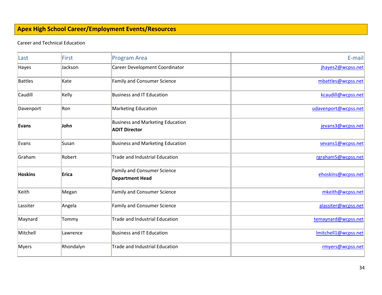# <span id="page-33-0"></span>**Apex High School Career/Employment Events/Resources**

#### Career and Technical Education

| Last      | First     | <b>Program Area</b>                                             | E-mail               |
|-----------|-----------|-----------------------------------------------------------------|----------------------|
| Hayes     | Jackson   | Career Development Coordinator                                  | jhayes2@wcpss.net    |
| Battles   | Kate      | Family and Consumer Science                                     | mbattles@wcpss.net   |
| Caudill   | Kelly     | Business and IT Education                                       | kcaudill@wcpss.net   |
| Davenport | Ron       | Marketing Education                                             | udavenport@wcpss.net |
| Evans     | John      | <b>Business and Marketing Education</b><br><b>AOIT Director</b> | jevans3@wcpss.net    |
| Evans     | Susan     | <b>Business and Marketing Education</b>                         | sevans1@wcpss.net    |
| Graham    | Robert    | Trade and Industrial Education                                  | rgraham5@wcpss.net   |
| Hoskins   | Erica     | <b>Family and Consumer Science</b><br><b>Department Head</b>    | ehoskins@wcpss.net   |
| Keith     | Megan     | <b>Family and Consumer Science</b>                              | mkeith@wcpss.net     |
| Lassiter  | Angela    | Family and Consumer Science                                     | alassiter@wcpss.net  |
| Maynard   | Tommy     | Trade and Industrial Education                                  | temaynard@wcpss.net  |
| Mitchell  | Lawrence  | Business and IT Education                                       | Imitchell1@wcpss.net |
| Myers     | Rhondalyn | Trade and Industrial Education                                  | rmyers@wcpss.net     |
|           |           |                                                                 |                      |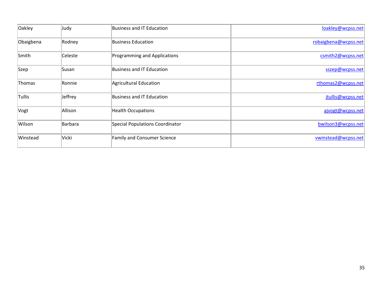| Oakley    | Judy    | <b>Business and IT Education</b> | loakley@wcpss.net    |
|-----------|---------|----------------------------------|----------------------|
| Obaigbena | Rodney  | <b>Business Education</b>        | robaigbena@wcpss.net |
| Smith     | Celeste | Programming and Applications     | csmith2@wcpss.net    |
| Szep      | Susan   | Business and IT Education        | sszep@wcpss.net      |
| Thomas    | Ronnie  | Agricultural Education           | rthomas2@wcpss.net   |
| Tullis    | Jeffrey | Business and IT Education        | jtullis@wcpss.net    |
| Vogt      | Allison | <b>Health Occupations</b>        | ajvogt@wcpss.net     |
| Wilson    | Barbara | Special Populations Coordinator  | bwilson3@wcpss.net   |
| Winstead  | Vicki   | Family and Consumer Science      | vwinstead@wcpss.net  |